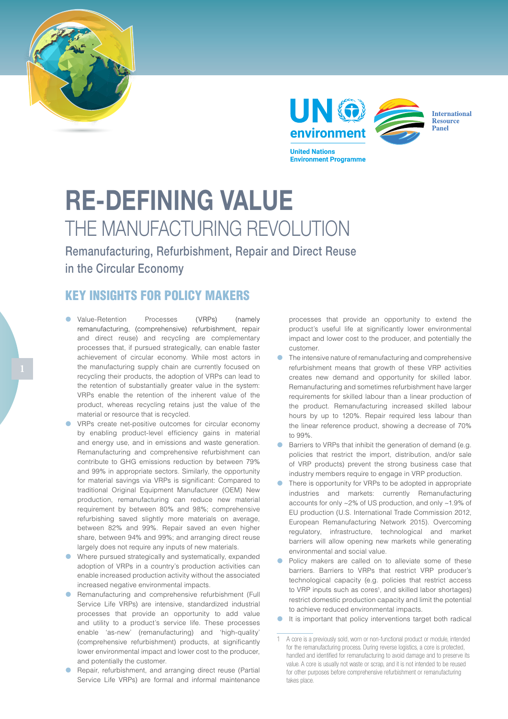



**Environment Programme** 



RE-DEFINING VALUE THE MANUFACTURING REVOLUTION

Remanufacturing, Refurbishment, Repair and Direct Reuse in the Circular Economy

## KEY INSIGHTS FOR POLICY MAKERS

- Value-Retention Processes (VRPs) (namely remanufacturing, (comprehensive) refurbishment, repair and direct reuse) and recycling are complementary processes that, if pursued strategically, can enable faster achievement of circular economy. While most actors in the manufacturing supply chain are currently focused on recycling their products, the adoption of VRPs can lead to the retention of substantially greater value in the system: VRPs enable the retention of the inherent value of the product, whereas recycling retains just the value of the material or resource that is recycled.
- **•** VRPs create net-positive outcomes for circular economy by enabling product-level efficiency gains in material and energy use, and in emissions and waste generation. Remanufacturing and comprehensive refurbishment can contribute to GHG emissions reduction by between 79% and 99% in appropriate sectors. Similarly, the opportunity for material savings via VRPs is significant: Compared to traditional Original Equipment Manufacturer (OEM) New production, remanufacturing can reduce new material requirement by between 80% and 98%; comprehensive refurbishing saved slightly more materials on average, between 82% and 99%. Repair saved an even higher share, between 94% and 99%; and arranging direct reuse largely does not require any inputs of new materials.
- Where pursued strategically and systematically, expanded adoption of VRPs in a country's production activities can enable increased production activity without the associated increased negative environmental impacts.
- **•** Remanufacturing and comprehensive refurbishment (Full Service Life VRPs) are intensive, standardized industrial processes that provide an opportunity to add value and utility to a product's service life. These processes enable 'as-new' (remanufacturing) and 'high-quality' (comprehensive refurbishment) products, at significantly lower environmental impact and lower cost to the producer, and potentially the customer.
- Repair, refurbishment, and arranging direct reuse (Partial Service Life VRPs) are formal and informal maintenance

processes that provide an opportunity to extend the product's useful life at significantly lower environmental impact and lower cost to the producer, and potentially the customer.

- The intensive nature of remanufacturing and comprehensive refurbishment means that growth of these VRP activities creates new demand and opportunity for skilled labor. Remanufacturing and sometimes refurbishment have larger requirements for skilled labour than a linear production of the product. Remanufacturing increased skilled labour hours by up to 120%. Repair required less labour than the linear reference product, showing a decrease of 70% to 99%.
- Barriers to VRPs that inhibit the generation of demand (e.g. policies that restrict the import, distribution, and/or sale of VRP products) prevent the strong business case that industry members require to engage in VRP production.
- There is opportunity for VRPs to be adopted in appropriate industries and markets: currently Remanufacturing accounts for only ~2% of US production, and only ~1.9% of EU production (U.S. International Trade Commission 2012, European Remanufacturing Network 2015). Overcoming regulatory, infrastructure, technological and market barriers will allow opening new markets while generating environmental and social value.
- Policy makers are called on to alleviate some of these barriers. Barriers to VRPs that restrict VRP producer's technological capacity (e.g. policies that restrict access to VRP inputs such as cores<sup>1</sup>, and skilled labor shortages) restrict domestic production capacity and limit the potential to achieve reduced environmental impacts.
- **•** It is important that policy interventions target both radical

<sup>1</sup> A core is a previously sold, worn or non-functional product or module, intended for the remanufacturing process. During reverse logistics, a core is protected, handled and identified for remanufacturing to avoid damage and to preserve its value. A core is usually not waste or scrap, and it is not intended to be reused for other purposes before comprehensive refurbishment or remanufacturing takes place.